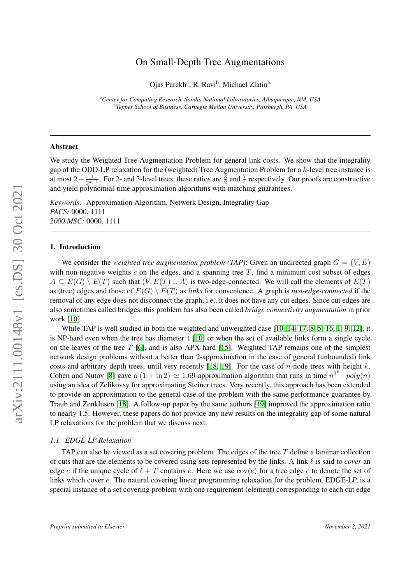# arXiv:2111.00148v1 [cs.DS] 30 Oct 2021 arXiv:2111.00148v1 [cs.DS] 30 Oct 2021

# On Small-Depth Tree Augmentations

Ojas Parekh<sup>a</sup>, R. Ravi<sup>b</sup>, Michael Zlatin<sup>b</sup>

*<sup>a</sup>Center for Computing Research, Sandia National Laboratories, Albuquerque, NM, USA b Tepper School of Business, Carnegie Mellon University, Pittsburgh, PA, USA*

# Abstract

We study the Weighted Tree Augmentation Problem for general link costs. We show that the integrality gap of the ODD-LP relaxation for the (weighted) Tree Augmentation Problem for a k-level tree instance is at most 2  $-\frac{1}{2k}$  $\frac{1}{2^{k-1}}$ . For 2- and 3-level trees, these ratios are  $\frac{3}{2}$  and  $\frac{7}{4}$  respectively. Our proofs are constructive and yield polynomial-time approximation algorithms with matching guarantees.

*Keywords:* Approximation Algorithm, Network Design, Integrality Gap *PACS:* 0000, 1111 *2000 MSC:* 0000, 1111

## 1. Introduction

We consider the *weighted tree augmentation problem (TAP)*: Given an undirected graph  $G = (V, E)$ with non-negative weights c on the edges, and a spanning tree  $T$ , find a minimum cost subset of edges  $A \subseteq E(G) \setminus E(T)$  such that  $(V, E(T) \cup A)$  is two-edge-connected. We will call the elements of  $E(T)$ as (tree) edges and those of  $E(G) \setminus E(T)$  as *links* for convenience. A graph is *two-edge-connected* if the removal of any edge does not disconnect the graph, i.e., it does not have any cut edges. Since cut edges are also sometimes called bridges, this problem has also been called *bridge connectivity augmentation* in prior work [\[10\]](#page-9-0).

While TAP is well studied in both the weighted and unweighted case [\[10,](#page-9-0) [14,](#page-10-0) [17,](#page-10-1) [8,](#page-9-1) [5,](#page-9-2) [16,](#page-10-2) [1,](#page-9-3) [9,](#page-9-4) [12\]](#page-10-3), it is NP-hard even when the tree has diameter 4 [\[10\]](#page-9-0) or when the set of available links form a single cycle on the leaves of the tree  $T$  [\[6\]](#page-9-5), and is also APX-hard [\[15\]](#page-10-4). Weighted TAP remains one of the simplest network design problems without a better than 2-approximation in the case of general (unbounded) link costs and arbitrary depth trees, until very recently [\[18,](#page-10-5) [19\]](#page-10-6). For the case of n-node trees with height k, Cohen and Nutov [\[8\]](#page-9-1) gave a  $(1 + \ln 2) \simeq 1.69$ -approximation algorithm that runs in time  $n^{3^k} \cdot poly(n)$ using an idea of Zelikovsy for approximating Steiner trees. Very recently, this approach has been extended to provide an approximation to the general case of the problem with the same performance guarantee by Traub and Zenklusen [\[18\]](#page-10-5). A follow-up paper by the same authors [\[19\]](#page-10-6) improved the approximation ratio to nearly 1.5. However, these papers do not provide any new results on the integrality gap of some natural LP relaxations for the problem that we discuss next.

## *1.1. EDGE-LP Relaxation*

TAP can also be viewed as a set covering problem. The edges of the tree  $T$  define a laminar collection of cuts that are the elements to be covered using sets represented by the links. A link  $\ell$  is said to *cover* an edge e if the unique cycle of  $\ell + T$  contains e. Here we use  $cov(e)$  for a tree edge e to denote the set of links which cover e. The natural covering linear programming relaxation for the problem, EDGE-LP, is a special instance of a set covering problem with one requirement (element) corresponding to each cut edge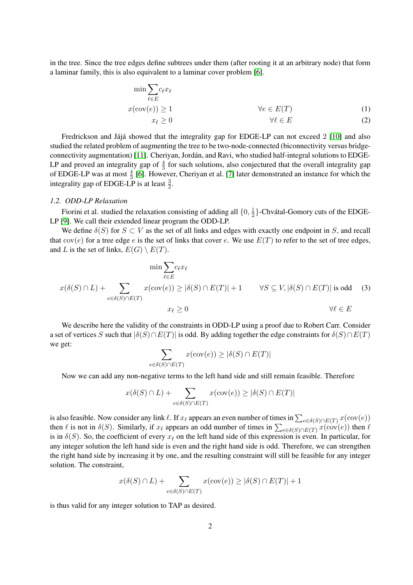in the tree. Since the tree edges define subtrees under them (after rooting it at an arbitrary node) that form a laminar family, this is also equivalent to a laminar cover problem [\[6\]](#page-9-5).

$$
\min \sum_{\ell \in E} c_{\ell} x_{\ell}
$$
\n
$$
x(\text{cov}(e)) \ge 1 \qquad \forall e \in E(T) \qquad (1)
$$
\n
$$
x_{\ell} \ge 0 \qquad \forall \ell \in E \qquad (2)
$$

Fredrickson and Jájá showed that the integrality gap for EDGE-LP can not exceed  $2 \lfloor 10 \rfloor$  and also studied the related problem of augmenting the tree to be two-node-connected (biconnectivity versus bridgeconnectivity augmentation) [\[11\]](#page-9-6). Cheriyan, Jordan, and Ravi, who studied half-integral solutions to EDGE- ´ LP and proved an integrality gap of  $\frac{4}{3}$  for such solutions, also conjectured that the overall integrality gap of EDGE-LP was at most  $\frac{4}{3}$  [\[6\]](#page-9-5). However, Cheriyan et al. [\[7\]](#page-9-7) later demonstrated an instance for which the integrality gap of EDGE-LP is at least  $\frac{3}{2}$ .

# *1.2. ODD-LP Relaxation*

Fiorini et al. studied the relaxation consisting of adding all  $\{0, \frac{1}{2}\}$  $\frac{1}{2}$ }-Chvátal-Gomory cuts of the EDGE-LP [\[9\]](#page-9-4). We call their extended linear program the ODD-LP.

We define  $\delta(S)$  for  $S \subset V$  as the set of all links and edges with exactly one endpoint in S, and recall that  $cov(e)$  for a tree edge e is the set of links that cover e. We use  $E(T)$  to refer to the set of tree edges, and L is the set of links,  $E(G) \setminus E(T)$ .

$$
\min \sum_{\ell \in E} c_{\ell} x_{\ell}
$$
  

$$
x(\delta(S) \cap L) + \sum_{e \in \delta(S) \cap E(T)} x(\text{cov}(e)) \ge |\delta(S) \cap E(T)| + 1 \qquad \forall S \subseteq V, |\delta(S) \cap E(T)| \text{ is odd} \quad (3)
$$
  

$$
x_{\ell} \ge 0 \qquad \forall \ell \in E
$$

We describe here the validity of the constraints in ODD-LP using a proof due to Robert Carr. Consider a set of vertices S such that  $|\delta(S) \cap E(T)|$  is odd. By adding together the edge constraints for  $\delta(S) \cap E(T)$ we get:

$$
\sum_{e \in \delta(S) \cap E(T)} x(\text{cov}(e)) \ge |\delta(S) \cap E(T)|
$$

Now we can add any non-negative terms to the left hand side and still remain feasible. Therefore

$$
x(\delta(S) \cap L) + \sum_{e \in \delta(S) \cap E(T)} x(\text{cov}(e)) \ge |\delta(S) \cap E(T)|
$$

is also feasible. Now consider any link  $\ell$ . If  $x_\ell$  appears an even number of times in  $\sum_{e \in \delta(S) \cap E(T)} x(\text{cov}(e))$ then  $\ell$  is not in  $\delta(S)$ . Similarly, if  $x_\ell$  appears an odd number of times in  $\sum_{e \in \delta(S) \cap E(T)} x(\text{cov}(e))$  then  $\ell$ is in  $\delta(S)$ . So, the coefficient of every  $x_\ell$  on the left hand side of this expression is even. In particular, for any integer solution the left hand side is even and the right hand side is odd. Therefore, we can strengthen the right hand side by increasing it by one, and the resulting constraint will still be feasible for any integer solution. The constraint,

$$
x(\delta(S) \cap L) + \sum_{e \in \delta(S) \cap E(T)} x(\text{cov}(e)) \ge |\delta(S) \cap E(T)| + 1
$$

is thus valid for any integer solution to TAP as desired.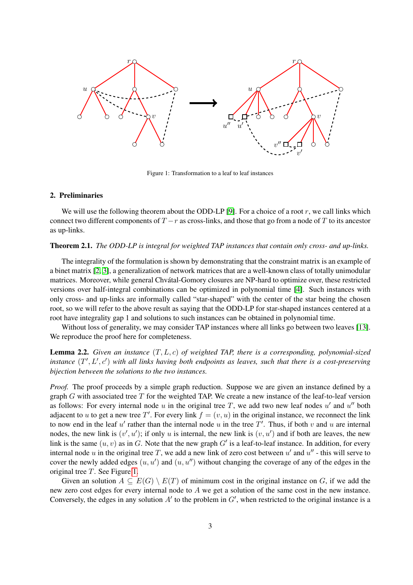

<span id="page-2-0"></span>Figure 1: Transformation to a leaf to leaf instances

# 2. Preliminaries

We will use the following theorem about the ODD-LP  $[9]$ . For a choice of a root r, we call links which connect two different components of  $T - r$  as cross-links, and those that go from a node of T to its ancestor as up-links.

## <span id="page-2-2"></span>Theorem 2.1. *The ODD-LP is integral for weighted TAP instances that contain only cross- and up-links.*

The integrality of the formulation is shown by demonstrating that the constraint matrix is an example of a binet matrix [\[2,](#page-9-8) [3\]](#page-9-9), a generalization of network matrices that are a well-known class of totally unimodular matrices. Moreover, while general Chvatal-Gomory closures are NP-hard to optimize over, these restricted versions over half-integral combinations can be optimized in polynomial time [\[4\]](#page-9-10). Such instances with only cross- and up-links are informally called "star-shaped" with the center of the star being the chosen root, so we will refer to the above result as saying that the ODD-LP for star-shaped instances centered at a root have integrality gap 1 and solutions to such instances can be obtained in polynomial time.

Without loss of generality, we may consider TAP instances where all links go between two leaves [\[13\]](#page-10-7). We reproduce the proof here for completeness.

<span id="page-2-1"></span>Lemma 2.2. *Given an instance* (T, L, c) *of weighted TAP, there is a corresponding, polynomial-sized instance*  $(T', L', c')$  with all links having both endpoints as leaves, such that there is a cost-preserving *bijection between the solutions to the two instances.*

*Proof.* The proof proceeds by a simple graph reduction. Suppose we are given an instance defined by a graph G with associated tree  $T$  for the weighted TAP. We create a new instance of the leaf-to-leaf version as follows: For every internal node u in the original tree T, we add two new leaf nodes  $u'$  and  $u''$  both adjacent to u to get a new tree T'. For every link  $f = (v, u)$  in the original instance, we reconnect the link to now end in the leaf  $u'$  rather than the internal node u in the tree T'. Thus, if both v and u are internal nodes, the new link is  $(v', u')$ ; if only u is internal, the new link is  $(v, u')$  and if both are leaves, the new link is the same  $(u, v)$  as in G. Note that the new graph G' is a leaf-to-leaf instance. In addition, for every internal node u in the original tree T, we add a new link of zero cost between  $u'$  and  $u''$  - this will serve to cover the newly added edges  $(u, u')$  and  $(u, u'')$  without changing the coverage of any of the edges in the original tree T. See Figure [1.](#page-2-0)

Given an solution  $A \subseteq E(G) \setminus E(T)$  of minimum cost in the original instance on G, if we add the new zero cost edges for every internal node to A we get a solution of the same cost in the new instance. Conversely, the edges in any solution  $A'$  to the problem in  $G'$ , when restricted to the original instance is a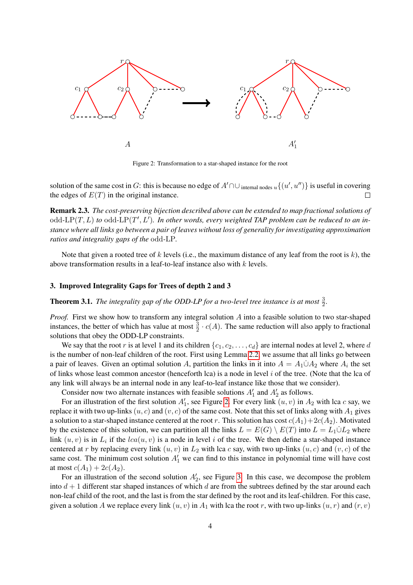

<span id="page-3-0"></span>Figure 2: Transformation to a star-shaped instance for the root

solution of the same cost in G: this is because no edge of  $A' \cap \cup_{\text{internal nodes } u} \{(u', u'')\}$  is useful in covering the edges of  $E(T)$  in the original instance.  $\Box$ 

Remark 2.3. *The cost-preserving bijection described above can be extended to map fractional solutions of* odd-LP $(T, L)$  to odd-LP $(T', L')$ . In other words, every weighted TAP problem can be reduced to an in*stance where all links go between a pair of leaves without loss of generality for investigating approximation ratios and integrality gaps of the* odd*-*LP*.*

Note that given a rooted tree of k levels (i.e., the maximum distance of any leaf from the root is  $k$ ), the above transformation results in a leaf-to-leaf instance also with k levels.

# 3. Improved Integrality Gaps for Trees of depth 2 and 3

<span id="page-3-1"></span>**Theorem 3.1.** The integrality gap of the ODD-LP for a two-level tree instance is at most  $\frac{3}{2}$ .

*Proof.* First we show how to transform any integral solution A into a feasible solution to two star-shaped instances, the better of which has value at most  $\frac{3}{2} \cdot c(A)$ . The same reduction will also apply to fractional solutions that obey the ODD-LP constraints.

We say that the root r is at level 1 and its children  $\{c_1, c_2, \ldots, c_d\}$  are internal nodes at level 2, where d is the number of non-leaf children of the root. First using Lemma [2.2,](#page-2-1) we assume that all links go between a pair of leaves. Given an optimal solution A, partition the links in it into  $A = A_1 \dot{\cup} A_2$  where  $A_i$  the set of links whose least common ancestor (henceforth lca) is a node in level  $i$  of the tree. (Note that the lca of any link will always be an internal node in any leaf-to-leaf instance like those that we consider).

Consider now two alternate instances with feasible solutions  $A'_1$  and  $A'_2$  as follows.

For an illustration of the first solution  $A'_1$ , see Figure [2.](#page-3-0) For every link  $(u, v)$  in  $A_2$  with lca c say, we replace it with two up-links  $(u, c)$  and  $(v, c)$  of the same cost. Note that this set of links along with  $A_1$  gives a solution to a star-shaped instance centered at the root r. This solution has cost  $c(A_1)+2c(A_2)$ . Motivated by the existence of this solution, we can partition all the links  $L = E(G) \setminus E(T)$  into  $L = L_1 \cup L_2$  where link  $(u, v)$  is in  $L_i$  if the  $lca(u, v)$  is a node in level i of the tree. We then define a star-shaped instance centered at r by replacing every link  $(u, v)$  in  $L_2$  with lca c say, with two up-links  $(u, c)$  and  $(v, c)$  of the same cost. The minimum cost solution  $A'_1$  we can find to this instance in polynomial time will have cost at most  $c(A_1) + 2c(A_2)$ .

For an illustration of the second solution  $A'_2$ , see Figure [3.](#page-4-0) In this case, we decompose the problem into  $d + 1$  different star shaped instances of which d are from the subtrees defined by the star around each non-leaf child of the root, and the last is from the star defined by the root and its leaf-children. For this case, given a solution A we replace every link  $(u, v)$  in  $A_1$  with lca the root r, with two up-links  $(u, r)$  and  $(r, v)$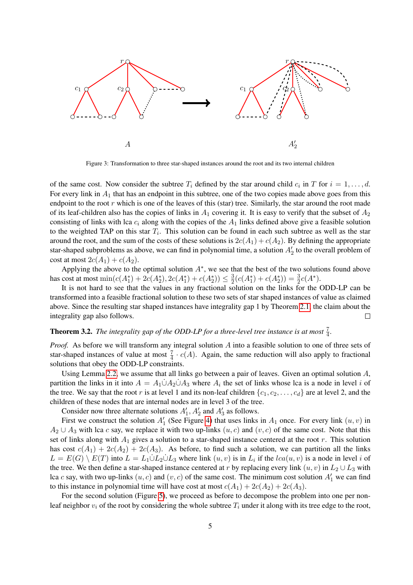

<span id="page-4-0"></span>Figure 3: Transformation to three star-shaped instances around the root and its two internal children

of the same cost. Now consider the subtree  $T_i$  defined by the star around child  $c_i$  in T for  $i = 1, \ldots, d$ . For every link in  $A_1$  that has an endpoint in this subtree, one of the two copies made above goes from this endpoint to the root  $r$  which is one of the leaves of this (star) tree. Similarly, the star around the root made of its leaf-children also has the copies of links in  $A_1$  covering it. It is easy to verify that the subset of  $A_2$ consisting of links with lca  $c_i$  along with the copies of the  $A_1$  links defined above give a feasible solution to the weighted TAP on this star  $T_i$ . This solution can be found in each such subtree as well as the star around the root, and the sum of the costs of these solutions is  $2c(A_1) + c(A_2)$ . By defining the appropriate star-shaped subproblems as above, we can find in polynomial time, a solution  $A_2$  to the overall problem of cost at most  $2c(A_1) + c(A_2)$ .

Applying the above to the optimal solution  $A^*$ , we see that the best of the two solutions found above has cost at most  $\min(c(A_1^*) + 2c(A_2^*), 2c(A_1^*) + c(A_2^*)) \leq \frac{3}{2}$  $\frac{3}{2}(c(A_1^*) + c(A_2^*)) = \frac{3}{2}c(A^*).$ 

It is not hard to see that the values in any fractional solution on the links for the ODD-LP can be transformed into a feasible fractional solution to these two sets of star shaped instances of value as claimed above. Since the resulting star shaped instances have integrality gap 1 by Theorem [2.1,](#page-2-2) the claim about the integrality gap also follows.  $\Box$ 

# **Theorem 3.2.** The integrality gap of the ODD-LP for a three-level tree instance is at most  $\frac{7}{4}$ .

*Proof.* As before we will transform any integral solution A into a feasible solution to one of three sets of star-shaped instances of value at most  $\frac{7}{4} \cdot c(A)$ . Again, the same reduction will also apply to fractional solutions that obey the ODD-LP constraints.

Using Lemma [2.2,](#page-2-1) we assume that all links go between a pair of leaves. Given an optimal solution  $A$ , partition the links in it into  $A = A_1 \dot{\cup} A_2 \dot{\cup} A_3$  where  $A_i$  the set of links whose lca is a node in level i of the tree. We say that the root r is at level 1 and its non-leaf children  $\{c_1, c_2, \ldots, c_d\}$  are at level 2, and the children of these nodes that are internal nodes are in level 3 of the tree.

Consider now three alternate solutions  $A'_1$ ,  $A'_2$  and  $A'_3$  as follows.

First we construct the solution  $A'_1$  (See Figure [4\)](#page-5-0) that uses links in  $A_1$  once. For every link  $(u, v)$  in  $A_2 \cup A_3$  with lca c say, we replace it with two up-links  $(u, c)$  and  $(v, c)$  of the same cost. Note that this set of links along with  $A_1$  gives a solution to a star-shaped instance centered at the root  $r$ . This solution has cost  $c(A_1) + 2c(A_2) + 2c(A_3)$ . As before, to find such a solution, we can partition all the links  $L = E(G) \setminus E(T)$  into  $L = L_1 \dot{\cup} L_2 \dot{\cup} L_3$  where link  $(u, v)$  is in  $L_i$  if the  $lca(u, v)$  is a node in level i of the tree. We then define a star-shaped instance centered at r by replacing every link  $(u, v)$  in  $L_2 \cup L_3$  with lca c say, with two up-links  $(u, c)$  and  $(v, c)$  of the same cost. The minimum cost solution  $A'_1$  we can find to this instance in polynomial time will have cost at most  $c(A_1) + 2c(A_2) + 2c(A_3)$ .

For the second solution (Figure [5\)](#page-5-1), we proceed as before to decompose the problem into one per nonleaf neighbor  $v_i$  of the root by considering the whole subtree  $T_i$  under it along with its tree edge to the root,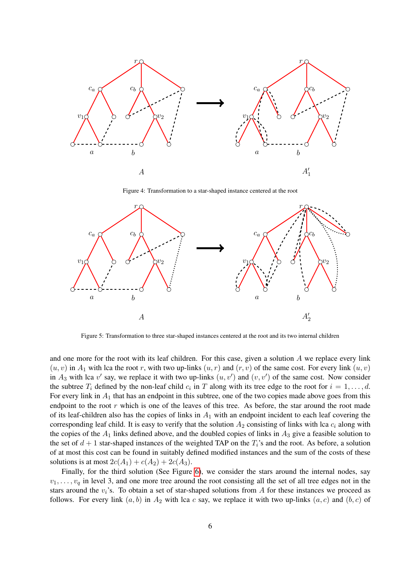

<span id="page-5-0"></span>Figure 4: Transformation to a star-shaped instance centered at the root



<span id="page-5-1"></span>Figure 5: Transformation to three star-shaped instances centered at the root and its two internal children

and one more for the root with its leaf children. For this case, given a solution  $A$  we replace every link  $(u, v)$  in  $A_1$  with lca the root r, with two up-links  $(u, r)$  and  $(r, v)$  of the same cost. For every link  $(u, v)$ in  $A_3$  with lca v' say, we replace it with two up-links  $(u, v')$  and  $(v, v')$  of the same cost. Now consider the subtree  $T_i$  defined by the non-leaf child  $c_i$  in T along with its tree edge to the root for  $i = 1, \ldots, d$ . For every link in  $A_1$  that has an endpoint in this subtree, one of the two copies made above goes from this endpoint to the root  $r$  which is one of the leaves of this tree. As before, the star around the root made of its leaf-children also has the copies of links in  $A_1$  with an endpoint incident to each leaf covering the corresponding leaf child. It is easy to verify that the solution  $A_2$  consisting of links with lca  $c_i$  along with the copies of the  $A_1$  links defined above, and the doubled copies of links in  $A_3$  give a feasible solution to the set of  $d + 1$  star-shaped instances of the weighted TAP on the  $T_i$ 's and the root. As before, a solution of at most this cost can be found in suitably defined modified instances and the sum of the costs of these solutions is at most  $2c(A_1) + c(A_2) + 2c(A_3)$ .

Finally, for the third solution (See Figure [6\)](#page-6-0), we consider the stars around the internal nodes, say  $v_1, \ldots, v_q$  in level 3, and one more tree around the root consisting all the set of all tree edges not in the stars around the  $v_i$ 's. To obtain a set of star-shaped solutions from A for these instances we proceed as follows. For every link  $(a, b)$  in  $A_2$  with lca c say, we replace it with two up-links  $(a, c)$  and  $(b, c)$  of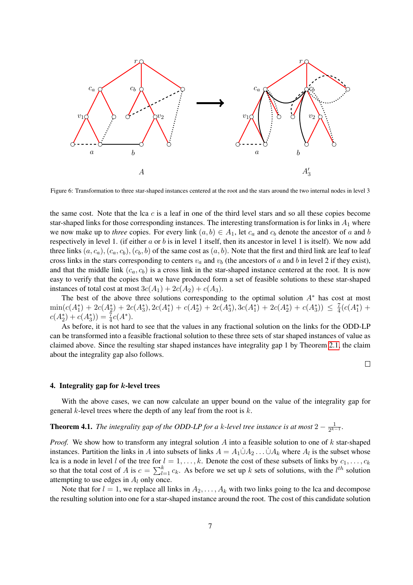

<span id="page-6-0"></span>Figure 6: Transformation to three star-shaped instances centered at the root and the stars around the two internal nodes in level 3

the same cost. Note that the lca  $c$  is a leaf in one of the third level stars and so all these copies become star-shaped links for those corresponding instances. The interesting transformation is for links in  $A_1$  where we now make up to *three* copies. For every link  $(a, b) \in A_1$ , let  $c_a$  and  $c_b$  denote the ancestor of a and b respectively in level 1. (if either  $a$  or  $b$  is in level 1 itself, then its ancestor in level 1 is itself). We now add three links  $(a, c_a), (c_a, c_b), (c_b, b)$  of the same cost as  $(a, b)$ . Note that the first and third link are leaf to leaf cross links in the stars corresponding to centers  $v_a$  and  $v_b$  (the ancestors of a and b in level 2 if they exist), and that the middle link  $(c_a, c_b)$  is a cross link in the star-shaped instance centered at the root. It is now easy to verify that the copies that we have produced form a set of feasible solutions to these star-shaped instances of total cost at most  $3c(A_1) + 2c(A_2) + c(A_3)$ .

The best of the above three solutions corresponding to the optimal solution  $A^*$  has cost at most  $\min(c(A_1^*) + 2c(A_2^*) + 2c(A_3^*), 2c(A_1^*) + c(A_2^*) + 2c(A_3^*), 3c(A_1^*) + 2c(A_2^*) + c(A_3^*)) \leq \frac{7}{4}$  $\frac{7}{4}(c(A_1^*) +$  $c(A_2^*) + c(A_3^*)) = \frac{7}{4}c(A^*).$ 

As before, it is not hard to see that the values in any fractional solution on the links for the ODD-LP can be transformed into a feasible fractional solution to these three sets of star shaped instances of value as claimed above. Since the resulting star shaped instances have integrality gap 1 by Theorem [2.1,](#page-2-2) the claim about the integrality gap also follows.

 $\Box$ 

#### 4. Integrality gap for k-level trees

With the above cases, we can now calculate an upper bound on the value of the integrality gap for general  $k$ -level trees where the depth of any leaf from the root is  $k$ .

#### **Theorem 4.1.** *The integrality gap of the ODD-LP for a k-level tree instance is at most*  $2 - \frac{1}{2k}$  $\frac{1}{2^{k-1}}$

*Proof.* We show how to transform any integral solution A into a feasible solution to one of k star-shaped instances. Partition the links in A into subsets of links  $A = A_1 \dot{\cup} A_2 \dots \dot{\cup} A_k$  where  $A_l$  is the subset whose lca is a node in level l of the tree for  $l = 1, ..., k$ . Denote the cost of these subsets of links by  $c_1, ..., c_k$ so that the total cost of A is  $c = \sum_{l=1}^{k} c_k$ . As before we set up k sets of solutions, with the  $l^{th}$  solution attempting to use edges in  $A_l$  only once.

Note that for  $l = 1$ , we replace all links in  $A_2, \ldots, A_k$  with two links going to the lca and decompose the resulting solution into one for a star-shaped instance around the root. The cost of this candidate solution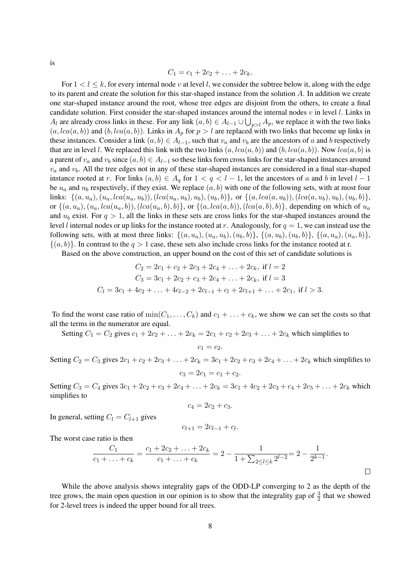is

$$
C_1 = c_1 + 2c_2 + \ldots + 2c_k.
$$

For  $1 < l \le k$ , for every internal node v at level l, we consider the subtree below it, along with the edge to its parent and create the solution for this star-shaped instance from the solution A. In addition we create one star-shaped instance around the root, whose tree edges are disjoint from the others, to create a final candidate solution. First consider the star-shaped instances around the internal nodes  $v$  in level  $l$ . Links in  $A_l$  are already cross links in these. For any link  $(a, b) \in A_{l-1} \cup \bigcup_{p>l} A_p$ , we replace it with the two links  $(a, lca(a, b))$  and  $(b, lca(a, b))$ . Links in  $A_p$  for  $p > l$  are replaced with two links that become up links in these instances. Consider a link  $(a, b) \in A_{l-1}$ , such that  $v_a$  and  $v_b$  are the ancestors of a and b respectively that are in level l. We replaced this link with the two links  $(a, lca(a, b))$  and  $(b, lca(a, b))$ . Now  $lca(a, b)$  is a parent of  $v_a$  and  $v_b$  since  $(a, b) \in A_{l-1}$  so these links form cross links for the star-shaped instances around  $v_a$  and  $v_b$ . All the tree edges not in any of these star-shaped instances are considered in a final star-shaped instance rooted at r. For links  $(a, b) \in A_q$  for  $1 < q < l-1$ , let the ancestors of a and b in level  $l-1$ be  $u_a$  and  $u_b$  respectively, if they exist. We replace  $(a, b)$  with one of the following sets, with at most four links:  $\{(a, u_a), (u_a, lca(u_a, u_b)), (lca(u_a, u_b), u_b), (u_b, b)\}\$ , or  $\{(a, lca(a, u_b)), (lca(a, u_b), u_b), (u_b, b)\}\$ or  $\{(a, u_a), (u_a, lca(u_a, b)), (lca(u_a, b), b)\}$ , or  $\{(a, lca(a, b)), (lca(a, b), b)\}$ , depending on which of  $u_a$ and  $u_b$  exist. For  $q > 1$ , all the links in these sets are cross links for the star-shaped instances around the level l internal nodes or up links for the instance rooted at r. Analogously, for  $q = 1$ , we can instead use the following sets, with at most three links:  $\{(a, u_a), (u_a, u_b), (u_b, b)\}\$ ,  $\{(a, u_b), (u_b, b)\}$ ,  $\{(a, u_a), (u_a, b)\}$ ,  $\{(a, b)\}\.$  In contrast to the  $q > 1$  case, these sets also include cross links for the instance rooted at r.

Based on the above construction, an upper bound on the cost of this set of candidate solutions is

$$
C_2 = 2c_1 + c_2 + 2c_3 + 2c_4 + \dots + 2c_k, \text{ if } l = 2
$$
  
\n
$$
C_3 = 3c_1 + 2c_2 + c_3 + 2c_4 + \dots + 2c_k, \text{ if } l = 3
$$
  
\n
$$
C_l = 3c_1 + 4c_2 + \dots + 4c_{l-2} + 2c_{l-1} + c_l + 2c_{l+1} + \dots + 2c_1, \text{ if } l > 3.
$$

To find the worst case ratio of  $min(C_1, \ldots, C_k)$  and  $c_1 + \ldots + c_k$ , we show we can set the costs so that all the terms in the numerator are equal.

Setting  $C_1 = C_2$  gives  $c_1 + 2c_2 + \ldots + 2c_k = 2c_1 + c_2 + 2c_3 + \ldots + 2c_k$  which simplifies to

$$
c_1=c_2.
$$

Setting  $C_2 = C_3$  gives  $2c_1 + c_2 + 2c_3 + \ldots + 2c_k = 3c_1 + 2c_2 + c_3 + 2c_4 + \ldots + 2c_k$  which simplifies to  $c_3 = 2c_1 = c_1 + c_2.$ 

Setting  $C_3 = C_4$  gives  $3c_1 + 2c_2 + c_3 + 2c_4 + \ldots + 2c_k = 3c_1 + 4c_2 + 2c_3 + c_4 + 2c_5 + \ldots + 2c_k$  which simplifies to

$$
c_4=2c_2+c_3.
$$

In general, setting  $C_l = C_{l+1}$  gives

$$
c_{l+1} = 2c_{l-1} + c_l.
$$

The worst case ratio is then

$$
\frac{C_1}{c_1 + \ldots + c_k} = \frac{c_1 + 2c_2 + \ldots + 2c_k}{c_1 + \ldots + c_k} = 2 - \frac{1}{1 + \sum_{2 \le l \le k} 2^{l-2}} = 2 - \frac{1}{2^{k-1}}.
$$

While the above analysis shows integrality gaps of the ODD-LP converging to 2 as the depth of the tree grows, the main open question in our opinion is to show that the integrality gap of  $\frac{3}{2}$  that we showed for 2-level trees is indeed the upper bound for all trees.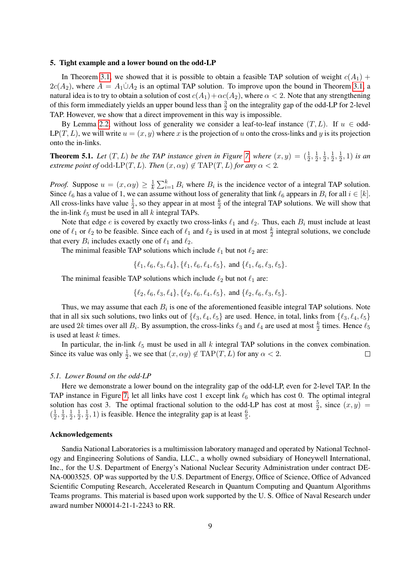#### 5. Tight example and a lower bound on the odd-LP

In Theorem [3.1,](#page-3-1) we showed that it is possible to obtain a feasible TAP solution of weight  $c(A_1)$  +  $2c(A_2)$ , where  $A = A_1 \dot{\cup} A_2$  is an optimal TAP solution. To improve upon the bound in Theorem [3.1,](#page-3-1) a natural idea is to try to obtain a solution of cost  $c(A_1)+\alpha c(A_2)$ , where  $\alpha < 2$ . Note that any strengthening of this form immediately yields an upper bound less than  $\frac{3}{2}$  on the integrality gap of the odd-LP for 2-level TAP. However, we show that a direct improvement in this way is impossible.

By Lemma [2.2,](#page-2-1) without loss of generality we consider a leaf-to-leaf instance  $(T, L)$ . If  $u \in \text{odd}$ - $LP(T, L)$ , we will write  $u = (x, y)$  where x is the projection of u onto the cross-links and y is its projection onto the in-links.

**Theorem 5.1.** Let  $(T, L)$  be the TAP instance given in Figure [7,](#page-9-11) where  $(x, y) = (\frac{1}{2}, \frac{1}{2})$  $\frac{1}{2}, \frac{1}{2}$  $\frac{1}{2}, \frac{1}{2}$  $\frac{1}{2}, \frac{1}{2}$  $(\frac{1}{2}, 1)$  *is an extreme point of* odd-LP(T, L). Then  $(x, \alpha y) \notin \text{TAP}(T, L)$  *for any*  $\alpha < 2$ .

*Proof.* Suppose  $u = (x, \alpha y) \geq \frac{1}{k}$  $\frac{1}{k} \sum_{i=1}^{k} B_i$  where  $B_i$  is the incidence vector of a integral TAP solution. Since  $\ell_6$  has a value of 1, we can assume without loss of generality that link  $\ell_6$  appears in  $B_i$  for all  $i \in [k]$ . All cross-links have value  $\frac{1}{2}$ , so they appear in at most  $\frac{k}{2}$  of the integral TAP solutions. We will show that the in-link  $\ell_5$  must be used in all k integral TAPs.

Note that edge e is covered by exactly two cross-links  $\ell_1$  and  $\ell_2$ . Thus, each  $B_i$  must include at least one of  $\ell_1$  or  $\ell_2$  to be feasible. Since each of  $\ell_1$  and  $\ell_2$  is used in at most  $\frac{k}{2}$  integral solutions, we conclude that every  $B_i$  includes exactly one of  $\ell_1$  and  $\ell_2$ .

The minimal feasible TAP solutions which include  $\ell_1$  but not  $\ell_2$  are:

$$
\{\ell_1, \ell_6, \ell_3, \ell_4\}, \{\ell_1, \ell_6, \ell_4, \ell_5\}, \text{ and } \{\ell_1, \ell_6, \ell_3, \ell_5\}.
$$

The minimal feasible TAP solutions which include  $\ell_2$  but not  $\ell_1$  are:

$$
\{\ell_2,\ell_6,\ell_3,\ell_4\},\{\ell_2,\ell_6,\ell_4,\ell_5\},\text{ and }\{\ell_2,\ell_6,\ell_3,\ell_5\}.
$$

Thus, we may assume that each  $B_i$  is one of the aforementioned feasible integral TAP solutions. Note that in all six such solutions, two links out of  $\{ \ell_3, \ell_4, \ell_5 \}$  are used. Hence, in total, links from  $\{ \ell_3, \ell_4, \ell_5 \}$ are used 2k times over all  $B_i$ . By assumption, the cross-links  $\ell_3$  and  $\ell_4$  are used at most  $\frac{k}{2}$  times. Hence  $\ell_5$ is used at least  $k$  times.

In particular, the in-link  $\ell_5$  must be used in all k integral TAP solutions in the convex combination. Since its value was only  $\frac{1}{2}$ , we see that  $(x, \alpha y) \notin \text{TAP}(T, L)$  for any  $\alpha < 2$ .  $\Box$ 

#### *5.1. Lower Bound on the odd-LP*

Here we demonstrate a lower bound on the integrality gap of the odd-LP, even for 2-level TAP. In the TAP instance in Figure [7,](#page-9-11) let all links have cost 1 except link  $\ell_6$  which has cost 0. The optimal integral solution has cost 3. The optimal fractional solution to the odd-LP has cost at most  $\frac{5}{2}$ , since  $(x, y)$  $\left(\frac{1}{2}\right)$  $\frac{1}{2}, \frac{1}{2}$  $\frac{1}{2}, \frac{1}{2}$  $\frac{1}{2}, \frac{1}{2}$  $\frac{1}{2}, \frac{1}{2}$  $(\frac{1}{2}, 1)$  is feasible. Hence the integrality gap is at least  $\frac{6}{5}$ .

## Acknowledgements

Sandia National Laboratories is a multimission laboratory managed and operated by National Technology and Engineering Solutions of Sandia, LLC., a wholly owned subsidiary of Honeywell International, Inc., for the U.S. Department of Energy's National Nuclear Security Administration under contract DE-NA-0003525. OP was supported by the U.S. Department of Energy, Office of Science, Office of Advanced Scientific Computing Research, Accelerated Research in Quantum Computing and Quantum Algorithms Teams programs. This material is based upon work supported by the U. S. Office of Naval Research under award number N00014-21-1-2243 to RR.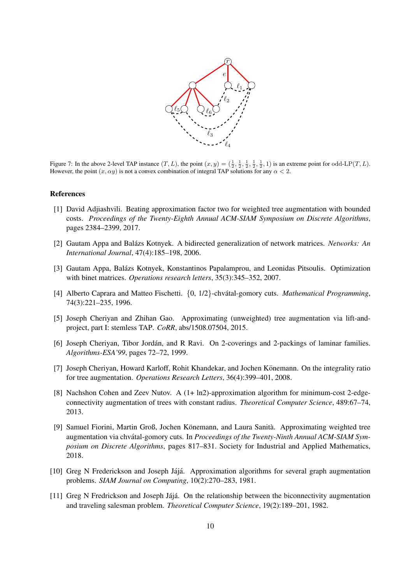

<span id="page-9-11"></span>Figure 7: In the above 2-level TAP instance  $(T, L)$ , the point  $(x, y) = (\frac{1}{2}, \frac{1}{2}, \frac{1}{2}, \frac{1}{2}, \frac{1}{2}, \frac{1}{2}, 1)$  is an extreme point for odd-LP $(T, L)$ . However, the point  $(x, \alpha y)$  is not a convex combination of integral TAP solutions for any  $\alpha < 2$ .

# References

- <span id="page-9-3"></span>[1] David Adjiashvili. Beating approximation factor two for weighted tree augmentation with bounded costs. *Proceedings of the Twenty-Eighth Annual ACM-SIAM Symposium on Discrete Algorithms*, pages 2384–2399, 2017.
- <span id="page-9-8"></span>[2] Gautam Appa and Balazs Kotnyek. A bidirected generalization of network matrices. ´ *Networks: An International Journal*, 47(4):185–198, 2006.
- <span id="page-9-9"></span>[3] Gautam Appa, Balazs Kotnyek, Konstantinos Papalamprou, and Leonidas Pitsoulis. Optimization ´ with binet matrices. *Operations research letters*, 35(3):345–352, 2007.
- <span id="page-9-10"></span>[4] Alberto Caprara and Matteo Fischetti.  $\{0, 1/2\}$ -chvátal-gomory cuts. *Mathematical Programming*, 74(3):221–235, 1996.
- <span id="page-9-2"></span>[5] Joseph Cheriyan and Zhihan Gao. Approximating (unweighted) tree augmentation via lift-andproject, part I: stemless TAP. *CoRR*, abs/1508.07504, 2015.
- <span id="page-9-5"></span>[6] Joseph Cheriyan, Tibor Jordán, and R Ravi. On 2-coverings and 2-packings of laminar families. *Algorithms-ESA'99*, pages 72–72, 1999.
- <span id="page-9-7"></span>[7] Joseph Cheriyan, Howard Karloff, Rohit Khandekar, and Jochen Könemann. On the integrality ratio for tree augmentation. *Operations Research Letters*, 36(4):399–401, 2008.
- <span id="page-9-1"></span>[8] Nachshon Cohen and Zeev Nutov. A (1+ ln2)-approximation algorithm for minimum-cost 2-edgeconnectivity augmentation of trees with constant radius. *Theoretical Computer Science*, 489:67–74, 2013.
- <span id="page-9-4"></span>[9] Samuel Fiorini, Martin Groß, Jochen Könemann, and Laura Sanità. Approximating weighted tree augmentation via chvátal-gomory cuts. In *Proceedings of the Twenty-Ninth Annual ACM-SIAM Symposium on Discrete Algorithms*, pages 817–831. Society for Industrial and Applied Mathematics, 2018.
- <span id="page-9-0"></span>[10] Greg N Frederickson and Joseph Jájá. Approximation algorithms for several graph augmentation problems. *SIAM Journal on Computing*, 10(2):270–283, 1981.
- <span id="page-9-6"></span>[11] Greg N Fredrickson and Joseph Jájá. On the relationship between the biconnectivity augmentation and traveling salesman problem. *Theoretical Computer Science*, 19(2):189–201, 1982.